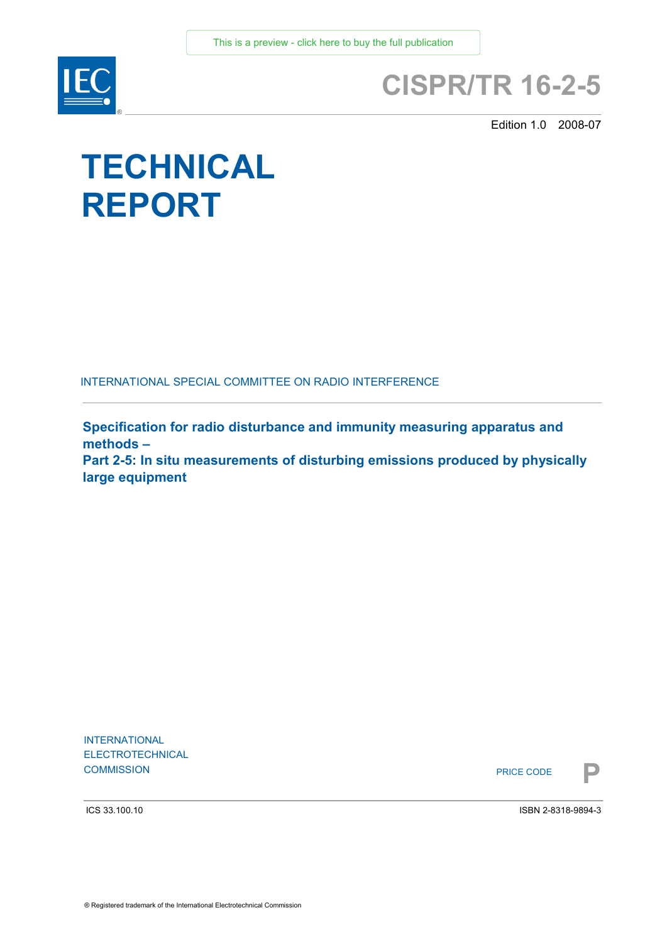

## **CISPR/TR 16-2-5**

Edition 1.0 2008-07

# **TECHNICAL REPORT**

INTERNATIONAL SPECIAL COMMITTEE ON RADIO INTERFERENCE

**Specification for radio disturbance and immunity measuring apparatus and methods – Part 2-5: In situ measurements of disturbing emissions produced by physically** 

**large equipment** 

INTERNATIONAL ELECTROTECHNICAL **COMMISSION**<br>**PRICE CODE** 

PRICE CODE

ICS 33.100.10

ISBN 2-8318-9894-3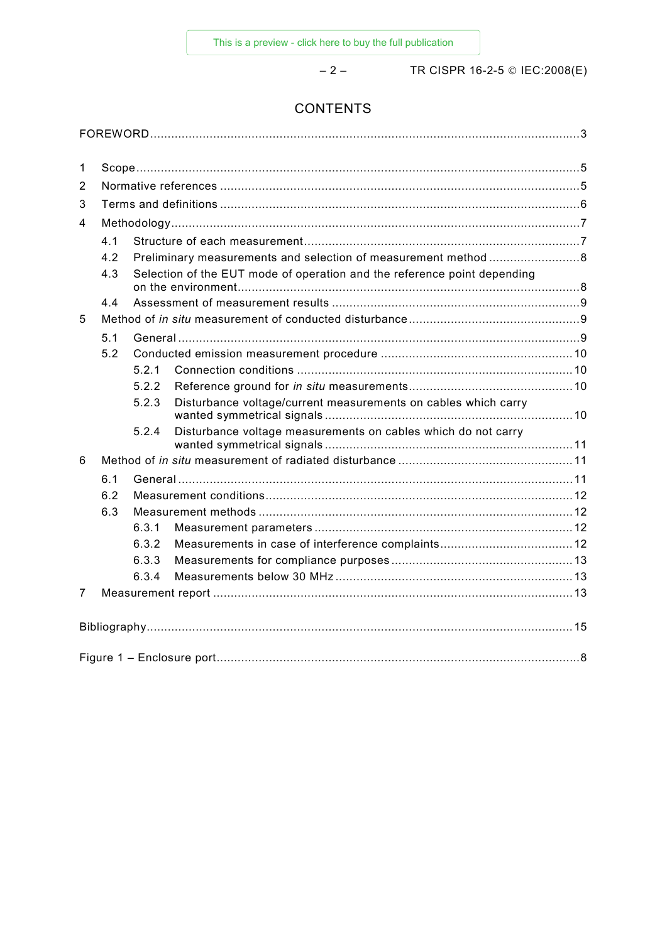– 2 – TR CISPR 16-2-5 © IEC:2008(E)

### **CONTENTS**

| 1              |                                                                                 |                                                                |                                                                |  |
|----------------|---------------------------------------------------------------------------------|----------------------------------------------------------------|----------------------------------------------------------------|--|
| 2              |                                                                                 |                                                                |                                                                |  |
| 3              |                                                                                 |                                                                |                                                                |  |
| 4              |                                                                                 |                                                                |                                                                |  |
|                | 4.1                                                                             |                                                                |                                                                |  |
|                | 4.2                                                                             | Preliminary measurements and selection of measurement method 8 |                                                                |  |
|                | Selection of the EUT mode of operation and the reference point depending<br>4.3 |                                                                |                                                                |  |
|                | 4.4                                                                             |                                                                |                                                                |  |
| 5              |                                                                                 |                                                                |                                                                |  |
|                | 5.1                                                                             |                                                                |                                                                |  |
|                | 5.2                                                                             |                                                                |                                                                |  |
|                |                                                                                 | 5.2.1                                                          |                                                                |  |
|                |                                                                                 | 5.2.2                                                          |                                                                |  |
|                |                                                                                 | 5.2.3                                                          | Disturbance voltage/current measurements on cables which carry |  |
|                |                                                                                 | 5.2.4                                                          | Disturbance voltage measurements on cables which do not carry  |  |
| 6              |                                                                                 |                                                                |                                                                |  |
|                | 6.1                                                                             |                                                                |                                                                |  |
|                | 6.2                                                                             |                                                                |                                                                |  |
|                | 6.3                                                                             |                                                                |                                                                |  |
|                |                                                                                 | 6.3.1                                                          |                                                                |  |
|                |                                                                                 | 6.3.2                                                          |                                                                |  |
|                |                                                                                 | 6.3.3                                                          |                                                                |  |
|                |                                                                                 | 6.3.4                                                          |                                                                |  |
| $\overline{7}$ |                                                                                 |                                                                |                                                                |  |
|                |                                                                                 |                                                                |                                                                |  |
|                |                                                                                 |                                                                |                                                                |  |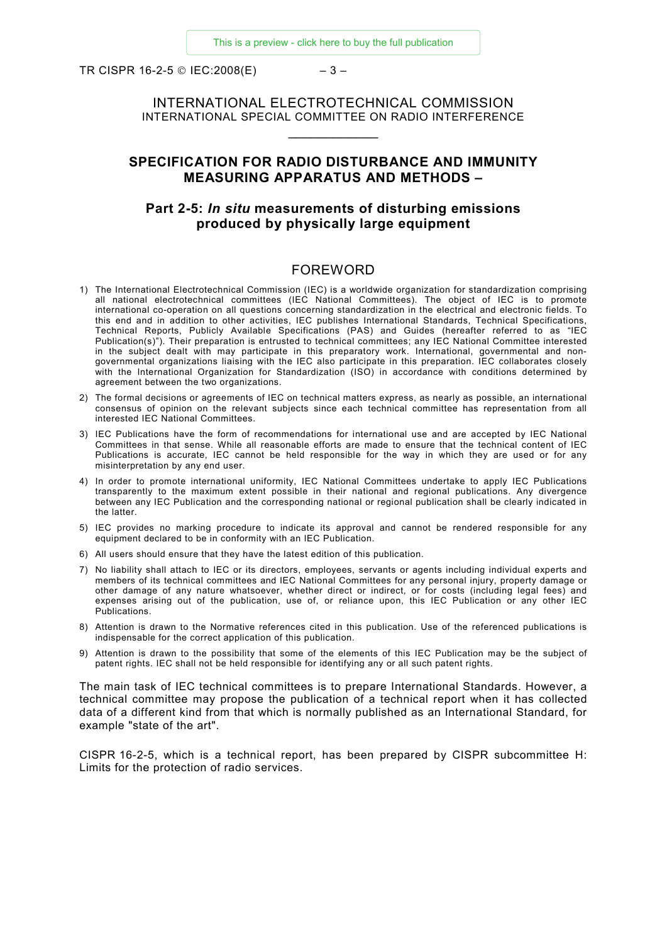<span id="page-2-0"></span>TR CISPR 16-2-5 © IEC:2008(E)  $-3-$ 

INTERNATIONAL ELECTROTECHNICAL COMMISSION INTERNATIONAL SPECIAL COMMITTEE ON RADIO INTERFERENCE  $\_$ 

#### **SPECIFICATION FOR RADIO DISTURBANCE AND IMMUNITY MEASURING APPARATUS AND METHODS –**

#### **Part 2-5:** *In situ* **measurements of disturbing emissions produced by physically large equipment**

#### FOREWORD

- 1) The International Electrotechnical Commission (IEC) is a worldwide organization for standardization comprising all national electrotechnical committees (IEC National Committees). The object of IEC is to promote international co-operation on all questions concerning standardization in the electrical and electronic fields. To this end and in addition to other activities, IEC publishes International Standards, Technical Specifications, Technical Reports, Publicly Available Specifications (PAS) and Guides (hereafter referred to as "IEC Publication(s)"). Their preparation is entrusted to technical committees; any IEC National Committee interested in the subject dealt with may participate in this preparatory work. International, governmental and nongovernmental organizations liaising with the IEC also participate in this preparation. IEC collaborates closely with the International Organization for Standardization (ISO) in accordance with conditions determined by agreement between the two organizations.
- 2) The formal decisions or agreements of IEC on technical matters express, as nearly as possible, an international consensus of opinion on the relevant subjects since each technical committee has representation from all interested IEC National Committees.
- 3) IEC Publications have the form of recommendations for international use and are accepted by IEC National Committees in that sense. While all reasonable efforts are made to ensure that the technical content of IEC Publications is accurate, IEC cannot be held responsible for the way in which they are used or for any misinterpretation by any end user.
- 4) In order to promote international uniformity, IEC National Committees undertake to apply IEC Publications transparently to the maximum extent possible in their national and regional publications. Any divergence between any IEC Publication and the corresponding national or regional publication shall be clearly indicated in the latter.
- 5) IEC provides no marking procedure to indicate its approval and cannot be rendered responsible for any equipment declared to be in conformity with an IEC Publication.
- 6) All users should ensure that they have the latest edition of this publication.
- 7) No liability shall attach to IEC or its directors, employees, servants or agents including individual experts and members of its technical committees and IEC National Committees for any personal injury, property damage or other damage of any nature whatsoever, whether direct or indirect, or for costs (including legal fees) and expenses arising out of the publication, use of, or reliance upon, this IEC Publication or any other IEC **Publications**
- 8) Attention is drawn to the Normative references cited in this publication. Use of the referenced publications is indispensable for the correct application of this publication.
- 9) Attention is drawn to the possibility that some of the elements of this IEC Publication may be the subject of patent rights. IEC shall not be held responsible for identifying any or all such patent rights.

The main task of IEC technical committees is to prepare International Standards. However, a technical committee may propose the publication of a technical report when it has collected data of a different kind from that which is normally published as an International Standard, for example "state of the art".

CISPR 16-2-5, which is a technical report, has been prepared by CISPR subcommittee H: Limits for the protection of radio services.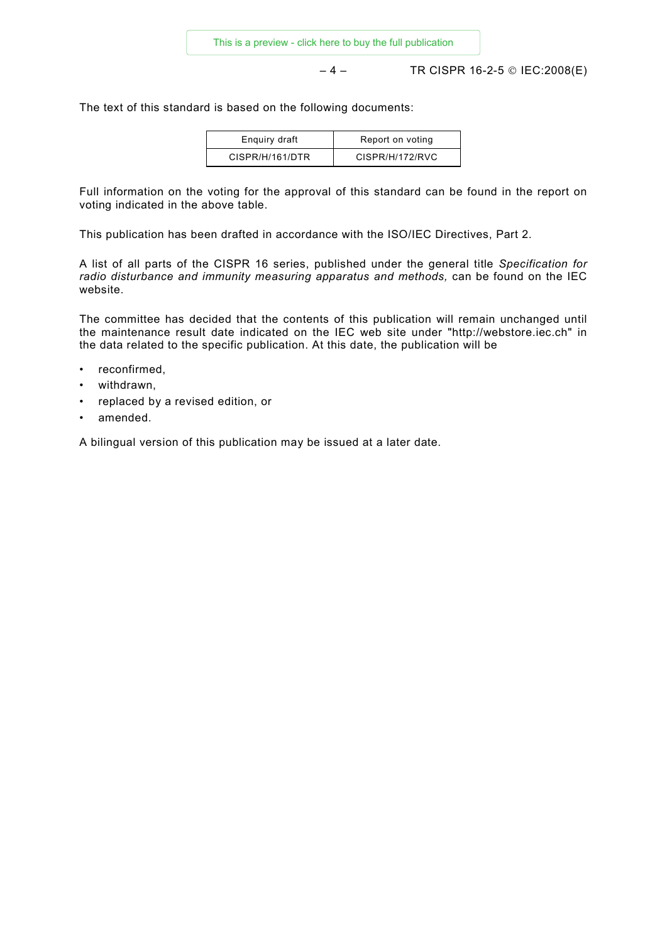– 4 – TR CISPR 16-2-5 © IEC:2008(E)

The text of this standard is based on the following documents:

| Enguiry draft   | Report on voting |
|-----------------|------------------|
| CISPR/H/161/DTR | CISPR/H/172/RVC  |

Full information on the voting for the approval of this standard can be found in the report on voting indicated in the above table.

This publication has been drafted in accordance with the ISO/IEC Directives, Part 2.

A list of all parts of the CISPR 16 series, published under the general title *Specification for*  radio disturbance and immunity measuring apparatus and methods, can be found on the IEC website.

The committee has decided that the contents of this publication will remain unchanged until the maintenance result date indicated on the IEC web site under "http://webstore.iec.ch" in the data related to the specific publication. At this date, the publication will be

- reconfirmed,
- withdrawn,
- replaced by a revised edition, or
- amended.

A bilingual version of this publication may be issued at a later date.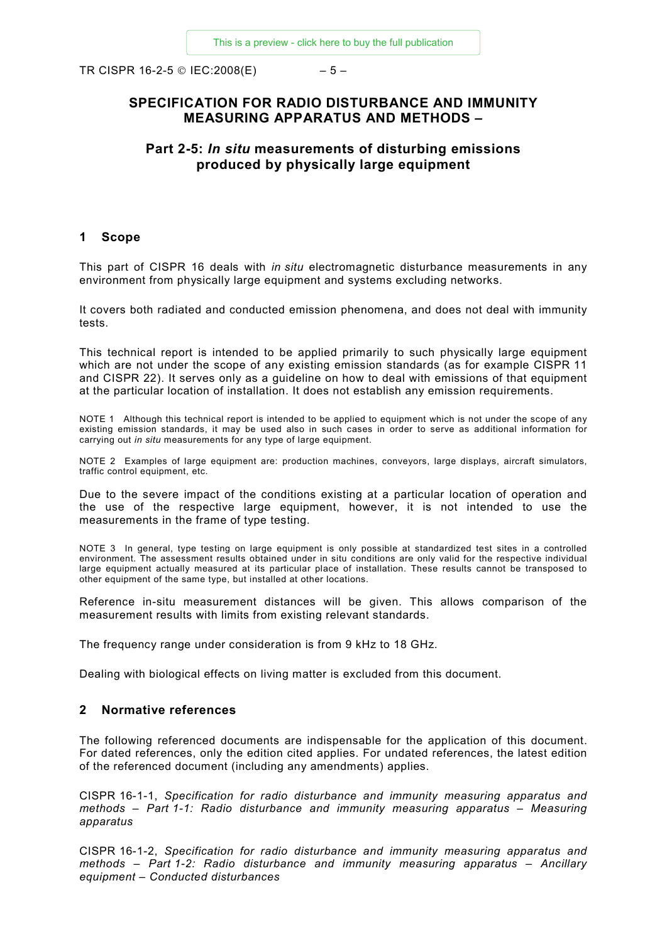<span id="page-4-0"></span>TR CISPR 16-2-5 © IEC:2008(E)  $-5-$ 

#### **SPECIFICATION FOR RADIO DISTURBANCE AND IMMUNITY MEASURING APPARATUS AND METHODS –**

#### **Part 2-5:** *In situ* **measurements of disturbing emissions produced by physically large equipment**

#### **1 Scope**

This part of CISPR 16 deals with *in situ* electromagnetic disturbance measurements in any environment from physically large equipment and systems excluding networks.

It covers both radiated and conducted emission phenomena, and does not deal with immunity tests.

This technical report is intended to be applied primarily to such physically large equipment which are not under the scope of any existing emission standards (as for example CISPR 11 and CISPR 22). It serves only as a guideline on how to deal with emissions of that equipment at the particular location of installation. It does not establish any emission requirements.

NOTE 1 Although this technical report is intended to be applied to equipment which is not under the scope of any existing emission standards, it may be used also in such cases in order to serve as additional information for carrying out *in situ* measurements for any type of large equipment.

NOTE 2 Examples of large equipment are: production machines, conveyors, large displays, aircraft simulators, traffic control equipment, etc.

Due to the severe impact of the conditions existing at a particular location of operation and the use of the respective large equipment, however, it is not intended to use the measurements in the frame of type testing.

NOTE 3 In general, type testing on large equipment is only possible at standardized test sites in a controlled environment. The assessment results obtained under in situ conditions are only valid for the respective individual large equipment actually measured at its particular place of installation. These results cannot be transposed to other equipment of the same type, but installed at other locations.

Reference in-situ measurement distances will be given. This allows comparison of the measurement results with limits from existing relevant standards.

The frequency range under consideration is from 9 kHz to 18 GHz.

Dealing with biological effects on living matter is excluded from this document.

#### **2 Normative references**

The following referenced documents are indispensable for the application of this document. For dated references, only the edition cited applies. For undated references, the latest edition of the referenced document (including any amendments) applies.

CISPR 16-1-1, *Specification for radio disturbance and immunity measuring apparatus and methods – Part 1-1: Radio disturbance and immunity measuring apparatus – Measuring apparatus*

CISPR 16-1-2, *Specification for radio disturbance and immunity measuring apparatus and methods – Part 1-2: Radio disturbance and immunity measuring apparatus – Ancillary equipment – Conducted disturbances*